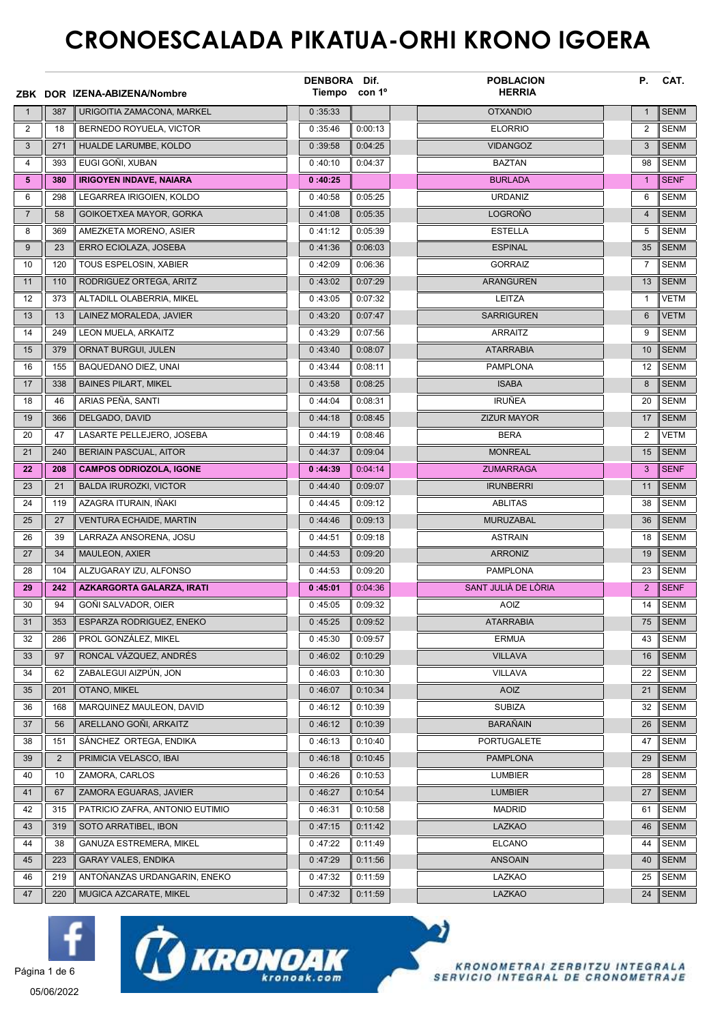## CRONOESCALADA PIKATUA-ORHI KRONO IGOERA

|                |                | ZBK DOR IZENA-ABIZENA/Nombre                          | DENBORA Dif.<br>Tiempo con 1º |                    | <b>POBLACION</b><br><b>HERRIA</b> | Р.             | CAT.                       |
|----------------|----------------|-------------------------------------------------------|-------------------------------|--------------------|-----------------------------------|----------------|----------------------------|
| $\mathbf{1}$   | 387            | URIGOITIA ZAMACONA, MARKEL                            | 0:35:33                       |                    | <b>OTXANDIO</b>                   | $\mathbf{1}$   | <b>SENM</b>                |
| 2              | 18             | BERNEDO ROYUELA, VICTOR                               | 0:35:46                       | 0:00:13            | <b>ELORRIO</b>                    | 2              | <b>SENM</b>                |
| 3              | 271            | HUALDE LARUMBE, KOLDO                                 | 0:39:58                       | 0:04:25            | <b>VIDANGOZ</b>                   | 3              | <b>SENM</b>                |
| 4              | 393            | EUGI GOÑI, XUBAN                                      | 0:40:10                       | 0:04:37            | <b>BAZTAN</b>                     | 98             | <b>SENM</b>                |
| 5              | 380            | <b>IRIGOYEN INDAVE, NAIARA</b>                        | 0:40:25                       |                    | <b>BURLADA</b>                    | $\mathbf{1}$   | <b>SENF</b>                |
| 6              | 298            | LEGARREA IRIGOIEN, KOLDO                              | 0:40:58                       | 0:05:25            | <b>URDANIZ</b>                    | 6              | <b>SENM</b>                |
| $\overline{7}$ | 58             | GOIKOETXEA MAYOR, GORKA                               | 0:41:08                       | 0:05:35            | <b>LOGROÑO</b>                    | $\overline{4}$ | <b>SENM</b>                |
| 8              | 369            | AMEZKETA MORENO, ASIER                                | 0:41:12                       | 0:05:39            | <b>ESTELLA</b>                    | 5              | <b>SENM</b>                |
| 9              | 23             | ERRO ECIOLAZA, JOSEBA                                 | 0:41:36                       | 0:06:03            | <b>ESPINAL</b>                    | 35             | <b>SENM</b>                |
| 10             | 120            | TOUS ESPELOSIN, XABIER                                | 0:42:09                       | 0:06:36            | <b>GORRAIZ</b>                    | $\overline{7}$ | <b>SENM</b>                |
| 11             | 110            | RODRIGUEZ ORTEGA, ARITZ                               | 0:43:02                       | 0:07:29            | <b>ARANGUREN</b>                  | 13             | <b>SENM</b>                |
| 12             | 373            | ALTADILL OLABERRIA, MIKEL                             | 0:43:05                       | 0:07:32            | LEITZA                            | $\mathbf{1}$   | <b>VETM</b>                |
| 13             | 13             | LAINEZ MORALEDA, JAVIER                               | 0:43:20                       | 0:07:47            | <b>SARRIGUREN</b>                 | 6              | <b>VETM</b>                |
| 14             | 249            | LEON MUELA, ARKAITZ                                   | 0:43:29                       | 0:07:56            | <b>ARRAITZ</b>                    | 9              | <b>SENM</b>                |
| 15             | 379            | <b>ORNAT BURGUI, JULEN</b>                            | 0:43:40                       | 0:08:07            | <b>ATARRABIA</b>                  | 10             | <b>SENM</b>                |
| 16             | 155            | BAQUEDANO DIEZ, UNAI                                  | 0:43:44                       | 0:08:11            | <b>PAMPLONA</b>                   | 12             | <b>SENM</b>                |
| 17             | 338            | <b>BAINES PILART, MIKEL</b>                           | 0:43:58                       | 0:08:25            | <b>ISABA</b>                      | 8              | <b>SENM</b>                |
| 18             | 46             | ARIAS PEÑA, SANTI                                     | 0:44:04                       | 0:08:31            | <b>IRUÑEA</b>                     | 20             | <b>SENM</b>                |
| 19             | 366            | DELGADO, DAVID                                        | 0:44:18                       | 0:08:45            | <b>ZIZUR MAYOR</b>                | 17             | <b>SENM</b>                |
| 20             | 47             | LASARTE PELLEJERO, JOSEBA                             | 0:44:19                       | 0:08:46            | <b>BERA</b>                       | 2              | <b>VETM</b>                |
| 21             | 240            | <b>BERIAIN PASCUAL, AITOR</b>                         | 0:44:37                       | 0:09:04            | <b>MONREAL</b>                    | 15             | <b>SENM</b>                |
| 22             | 208            | <b>CAMPOS ODRIOZOLA, IGONE</b>                        | 0:44:39                       | 0:04:14            | <b>ZUMARRAGA</b>                  | 3              | <b>SENF</b>                |
| 23             | 21             | <b>BALDA IRUROZKI, VICTOR</b>                         | 0:44:40                       | 0:09:07            | <b>IRUNBERRI</b>                  | 11             | <b>SENM</b>                |
| 24             | 119            | AZAGRA ITURAIN, IÑAKI                                 | 0:44:45                       | 0:09:12            | <b>ABLITAS</b>                    | 38             | <b>SENM</b>                |
| 25             | 27             | <b>VENTURA ECHAIDE, MARTIN</b>                        | 0:44:46                       | 0:09:13            | <b>MURUZABAL</b>                  | 36             | <b>SENM</b>                |
| 26             | 39             | LARRAZA ANSORENA, JOSU                                | 0:44:51                       | 0:09:18            | <b>ASTRAIN</b>                    | 18             | <b>SENM</b>                |
| 27             | 34             | <b>MAULEON, AXIER</b>                                 | 0:44:53                       | 0:09:20            | <b>ARRONIZ</b>                    | 19             | <b>SENM</b>                |
| 28             | 104            | ALZUGARAY IZU, ALFONSO                                | 0:44:53                       | 0:09:20            | <b>PAMPLONA</b>                   | 23             | <b>SENM</b>                |
| 29             | 242            | <b>AZKARGORTA GALARZA, IRATI</b>                      | 0:45:01                       | 0:04:36            | SANT JULIÀ DE LÒRIA               | 2              | <b>SENF</b>                |
| 30             | 94             | GOÑI SALVADOR, OIER                                   | 0:45:05                       | 0:09:32            | <b>AOIZ</b>                       | 14             | <b>SENM</b>                |
| 31             | 353            | ESPARZA RODRIGUEZ, ENEKO                              | 0:45:25                       | 0:09:52            | <b>ATARRABIA</b>                  | 75             | <b>SENM</b>                |
| 32             | 286            | PROL GONZÁLEZ, MIKEL                                  | 0:45:30                       | 0:09:57            | <b>ERMUA</b>                      | 43             | <b>SENM</b>                |
| 33             | 97             | RONCAL VÁZQUEZ, ANDRÉS                                | 0:46:02                       | 0:10:29            | <b>VILLAVA</b>                    | 16             | <b>SENM</b>                |
| 34             | 62             | ZABALEGUI AIZPÚN, JON                                 | 0:46:03                       | 0:10:30            | <b>VILLAVA</b>                    | 22             | <b>SENM</b>                |
| 35             | 201            | <b>OTANO, MIKEL</b>                                   | 0:46:07                       | 0:10:34            | <b>AOIZ</b>                       | 21             | <b>SENM</b>                |
| 36             | 168            | MARQUINEZ MAULEON. DAVID                              | 0:46:12                       | 0:10:39            | <b>SUBIZA</b>                     | 32             | <b>SENM</b>                |
| 37             | 56             | ARELLANO GOÑI, ARKAITZ                                | 0:46:12                       | 0:10:39            | <b>BARAÑAIN</b>                   | 26             | <b>SENM</b>                |
| 38             | 151            | SÁNCHEZ ORTEGA, ENDIKA                                | 0:46:13                       | 0:10:40            | PORTUGALETE                       | 47             | <b>SENM</b>                |
| 39             | $\overline{2}$ | PRIMICIA VELASCO, IBAI                                | 0:46:18                       | 0:10:45            | <b>PAMPLONA</b>                   | 29             | <b>SENM</b>                |
| 40             | 10             | ZAMORA, CARLOS                                        | 0:46:26                       | 0:10:53            | <b>LUMBIER</b>                    | 28             | <b>SENM</b>                |
| 41             | 67<br>315      | ZAMORA EGUARAS, JAVIER                                | 0:46:27                       | 0:10:54            | <b>LUMBIER</b>                    | 27             | <b>SENM</b>                |
| 42             |                | PATRICIO ZAFRA, ANTONIO EUTIMIO                       | 0:46:31                       | 0:10:58            | <b>MADRID</b>                     | 61             | <b>SENM</b>                |
| 43             | 319            | SOTO ARRATIBEL, IBON                                  | 0:47:15                       | 0:11:42            | <b>LAZKAO</b>                     | 46             | <b>SENM</b>                |
| 44<br>45       | 38<br>223      | GANUZA ESTREMERA, MIKEL<br><b>GARAY VALES, ENDIKA</b> | 0:47:22<br>0:47:29            | 0:11:49<br>0:11:56 | <b>ELCANO</b><br><b>ANSOAIN</b>   | 44<br>40       | <b>SENM</b><br><b>SENM</b> |
|                | 219            | ANTOÑANZAS URDANGARIN, ENEKO                          |                               |                    | LAZKAO                            | 25             | <b>SENM</b>                |
| 46<br>47       | 220            | MUGICA AZCARATE, MIKEL                                | 0:47:32<br>0:47:32            | 0:11:59<br>0:11:59 | <b>LAZKAO</b>                     | 24             | SENM                       |
|                |                |                                                       |                               |                    |                                   |                |                            |







y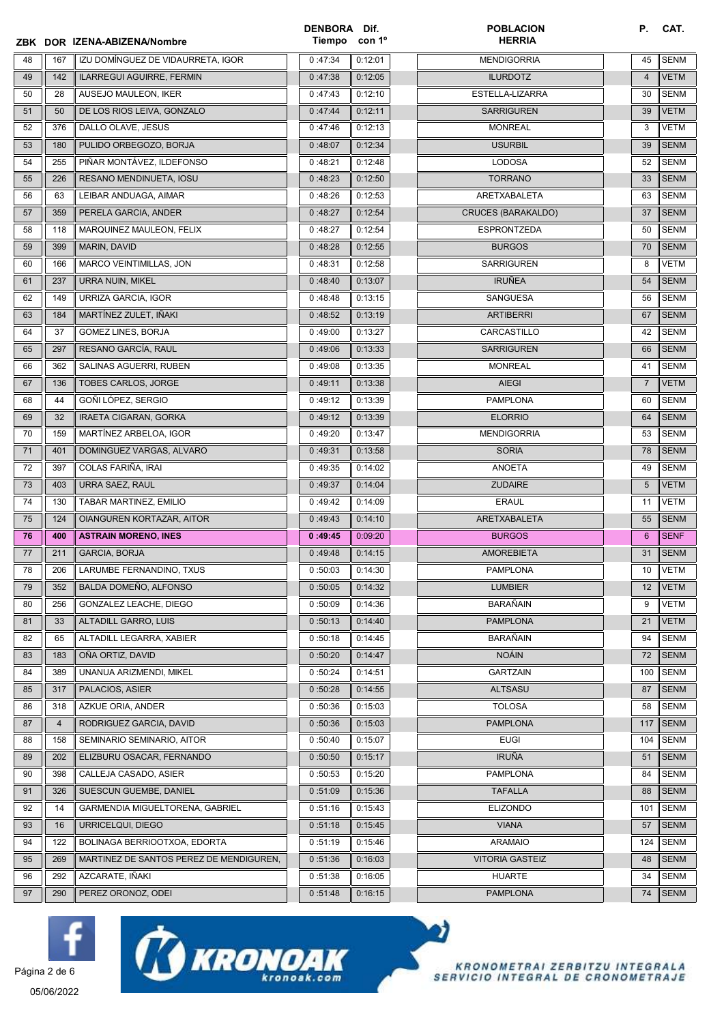|    |                | ZBK DOR IZENA-ABIZENA/Nombre            | DENBORA Dif.<br>Tiempo | con 1º  | <b>POBLACION</b><br><b>HERRIA</b> | Р.             | CAT.        |
|----|----------------|-----------------------------------------|------------------------|---------|-----------------------------------|----------------|-------------|
| 48 | 167            | IZU DOMÍNGUEZ DE VIDAURRETA, IGOR       | 0:47:34                | 0:12:01 | <b>MENDIGORRIA</b>                | 45             | <b>SENM</b> |
| 49 | 142            | ILARREGUI AGUIRRE, FERMIN               | 0:47:38                | 0:12:05 | <b>ILURDOTZ</b>                   | $\overline{4}$ | <b>VETM</b> |
| 50 | 28             | AUSEJO MAULEON, IKER                    | 0:47:43                | 0:12:10 | ESTELLA-LIZARRA                   | 30             | <b>SENM</b> |
| 51 | 50             | DE LOS RIOS LEIVA, GONZALO              | 0:47:44                | 0:12:11 | <b>SARRIGUREN</b>                 | 39             | <b>VETM</b> |
| 52 | 376            | DALLO OLAVE, JESUS                      | 0:47:46                | 0:12:13 | <b>MONREAL</b>                    | 3              | VETM        |
| 53 | 180            | PULIDO ORBEGOZO, BORJA                  | 0:48:07                | 0:12:34 | <b>USURBIL</b>                    | 39             | <b>SENM</b> |
| 54 | 255            | PIÑAR MONTÁVEZ, ILDEFONSO               | 0:48:21                | 0:12:48 | <b>LODOSA</b>                     | 52             | <b>SENM</b> |
| 55 | 226            | RESANO MENDINUETA, IOSU                 | 0:48:23                | 0:12:50 | <b>TORRANO</b>                    | 33             | <b>SENM</b> |
| 56 | 63             | LEIBAR ANDUAGA, AIMAR                   | 0:48:26                | 0:12:53 | ARETXABALETA                      | 63             | <b>SENM</b> |
| 57 | 359            | PERELA GARCIA, ANDER                    | 0:48:27                | 0:12:54 | <b>CRUCES (BARAKALDO)</b>         | 37             | <b>SENM</b> |
| 58 | 118            | MARQUINEZ MAULEON, FELIX                | 0:48:27                | 0:12:54 | <b>ESPRONTZEDA</b>                | 50             | <b>SENM</b> |
| 59 | 399            | MARIN, DAVID                            | 0:48:28                | 0:12:55 | <b>BURGOS</b>                     | 70             | <b>SENM</b> |
| 60 | 166            | MARCO VEINTIMILLAS, JON                 | 0:48:31                | 0:12:58 | <b>SARRIGUREN</b>                 | 8              | <b>VETM</b> |
| 61 | 237            | URRA NUIN, MIKEL                        | 0:48:40                | 0:13:07 | <b>IRUÑEA</b>                     | 54             | <b>SENM</b> |
| 62 | 149            | URRIZA GARCIA, IGOR                     | 0:48:48                | 0:13:15 | SANGUESA                          | 56             | <b>SENM</b> |
| 63 | 184            | MARTÍNEZ ZULET, IÑAKI                   | 0:48:52                | 0:13:19 | <b>ARTIBERRI</b>                  | 67             | <b>SENM</b> |
| 64 | 37             | GOMEZ LINES, BORJA                      | 0:49:00                | 0:13:27 | CARCASTILLO                       | 42             | <b>SENM</b> |
| 65 | 297            | RESANO GARCÍA, RAUL                     | 0:49:06                | 0:13:33 | <b>SARRIGUREN</b>                 | 66             | <b>SENM</b> |
| 66 | 362            | SALINAS AGUERRI, RUBEN                  | 0:49:08                | 0:13:35 | <b>MONREAL</b>                    | 41             | <b>SENM</b> |
| 67 | 136            | <b>TOBES CARLOS, JORGE</b>              | 0:49:11                | 0:13:38 | <b>AIEGI</b>                      | $\overline{7}$ | <b>VETM</b> |
| 68 | 44             | GOÑI LÓPEZ, SERGIO                      | 0:49:12                | 0:13:39 | <b>PAMPLONA</b>                   | 60             | <b>SENM</b> |
| 69 | 32             | IRAETA CIGARAN, GORKA                   | 0:49:12                | 0:13:39 | <b>ELORRIO</b>                    | 64             | <b>SENM</b> |
| 70 | 159            | MARTÍNEZ ARBELOA, IGOR                  | 0:49:20                | 0:13:47 | <b>MENDIGORRIA</b>                | 53             | SENM        |
| 71 | 401            | DOMINGUEZ VARGAS, ALVARO                | 0:49:31                | 0:13:58 | <b>SORIA</b>                      | 78             | <b>SENM</b> |
| 72 | 397            | COLAS FARIÑA, IRAI                      | 0:49:35                | 0:14:02 | <b>ANOETA</b>                     | 49             | <b>SENM</b> |
| 73 | 403            | URRA SAEZ, RAUL                         | 0:49:37                | 0:14:04 | <b>ZUDAIRE</b>                    | 5              | <b>VETM</b> |
| 74 | 130            | TABAR MARTINEZ, EMILIO                  | 0:49:42                | 0:14:09 | <b>ERAUL</b>                      | 11             | <b>VETM</b> |
| 75 | 124            | OIANGUREN KORTAZAR, AITOR               | 0:49:43                | 0:14:10 | ARETXABALETA                      | 55             | SENM        |
| 76 | 400            | <b>ASTRAIN MORENO, INES</b>             | 0:49:45                | 0:09:20 | <b>BURGOS</b>                     | 6              | <b>SENF</b> |
| 77 | 211            | <b>GARCIA, BORJA</b>                    | 0:49:48                | 0:14:15 | <b>AMOREBIETA</b>                 | 31             | <b>SENM</b> |
| 78 | 206            | LARUMBE FERNANDINO, TXUS                | 0:50:03                | 0:14:30 | <b>PAMPLONA</b>                   | 10             | <b>VETM</b> |
| 79 | 352            | BALDA DOMEÑO, ALFONSO                   | 0:50:05                | 0:14:32 | <b>LUMBIER</b>                    | 12             | <b>VETM</b> |
| 80 | 256            | GONZALEZ LEACHE, DIEGO                  | 0:50:09                | 0:14:36 | BARAÑAIN                          | 9              | <b>VETM</b> |
| 81 | 33             | ALTADILL GARRO, LUIS                    | 0:50:13                | 0:14:40 | <b>PAMPLONA</b>                   | 21             | <b>VETM</b> |
| 82 | 65             | ALTADILL LEGARRA, XABIER                | 0:50:18                | 0:14:45 | BARAÑAIN                          | 94             | SENM        |
| 83 | 183            | OÑA ORTIZ, DAVID                        | 0:50:20                | 0:14:47 | <b>NOÁIN</b>                      | 72             | <b>SENM</b> |
| 84 | 389            | UNANUA ARIZMENDI, MIKEL                 | 0:50:24                | 0:14:51 | <b>GARTZAIN</b>                   | 100            | <b>SENM</b> |
| 85 | 317            | PALACIOS, ASIER                         | 0:50:28                | 0:14:55 | <b>ALTSASU</b>                    | 87             | <b>SENM</b> |
| 86 | 318            | AZKUE ORIA, ANDER                       | 0:50:36                | 0:15:03 | <b>TOLOSA</b>                     | 58             | <b>SENM</b> |
| 87 | $\overline{4}$ | RODRIGUEZ GARCIA, DAVID                 | 0:50:36                | 0:15:03 | <b>PAMPLONA</b>                   | 117            | <b>SENM</b> |
| 88 | 158            | SEMINARIO SEMINARIO, AITOR              | 0:50:40                | 0:15:07 | <b>EUGI</b>                       | 104            | <b>SENM</b> |
| 89 | 202            | ELIZBURU OSACAR, FERNANDO               | 0:50:50                | 0:15:17 | <b>IRUÑA</b>                      | 51             | <b>SENM</b> |
| 90 | 398            | CALLEJA CASADO, ASIER                   | 0:50:53                | 0:15:20 | <b>PAMPLONA</b>                   | 84             | <b>SENM</b> |
| 91 | 326            | SUESCUN GUEMBE, DANIEL                  | 0:51:09                | 0:15:36 | <b>TAFALLA</b>                    | 88             | <b>SENM</b> |
| 92 | 14             | GARMENDIA MIGUELTORENA, GABRIEL         | 0:51:16                | 0:15:43 | <b>ELIZONDO</b>                   | 101            | <b>SENM</b> |
| 93 | 16             | URRICELQUI, DIEGO                       | 0:51:18                | 0:15:45 | <b>VIANA</b>                      | 57             | <b>SENM</b> |
| 94 | 122            | BOLINAGA BERRIOOTXOA, EDORTA            | 0:51:19                | 0:15:46 | <b>ARAMAIO</b>                    | 124            | <b>SENM</b> |
| 95 | 269            | MARTINEZ DE SANTOS PEREZ DE MENDIGUREN, | 0:51:36                | 0:16:03 | <b>VITORIA GASTEIZ</b>            | 48             | <b>SENM</b> |
| 96 | 292            | AZCARATE, IÑAKI                         | 0:51:38                | 0:16:05 | <b>HUARTE</b>                     | 34             | SENM        |
| 97 | 290            | PEREZ ORONOZ, ODEI                      | 0:51:48                | 0:16:15 | <b>PAMPLONA</b>                   | 74             | SENM        |





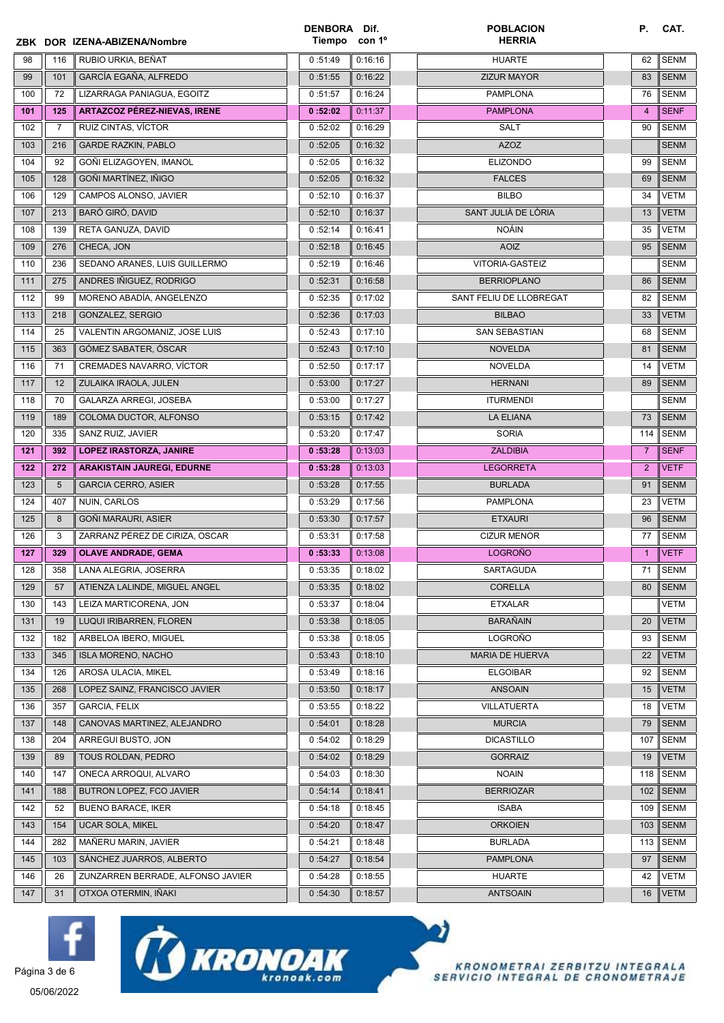|     |                | ZBK DOR IZENA-ABIZENA/Nombre        | DENBORA Dif.<br>Tiempo | con 1 <sup>o</sup> | <b>POBLACION</b><br><b>HERRIA</b> | <b>P.</b>      | CAT.        |
|-----|----------------|-------------------------------------|------------------------|--------------------|-----------------------------------|----------------|-------------|
| 98  | 116            | RUBIO URKIA, BEÑAT                  | 0:51:49                | 0:16:16            | <b>HUARTE</b>                     | 62             | <b>SENM</b> |
| 99  | 101            | GARCÍA EGAÑA, ALFREDO               | 0:51:55                | 0:16:22            | <b>ZIZUR MAYOR</b>                | 83             | <b>SENM</b> |
| 100 | 72             | LIZARRAGA PANIAGUA, EGOITZ          | 0:51:57                | 0:16:24            | <b>PAMPLONA</b>                   | 76             | <b>SENM</b> |
| 101 | 125            | <b>ARTAZCOZ PÉREZ-NIEVAS, IRENE</b> | 0:52:02                | 0:11:37            | <b>PAMPLONA</b>                   | $\overline{4}$ | <b>SENF</b> |
| 102 | $\overline{7}$ | RUIZ CINTAS, VÍCTOR                 | 0:52:02                | 0:16:29            | <b>SALT</b>                       | 90             | <b>SENM</b> |
| 103 | 216            | <b>GARDE RAZKIN, PABLO</b>          | 0:52:05                | 0:16:32            | <b>AZOZ</b>                       |                | <b>SENM</b> |
| 104 | 92             | GOÑI ELIZAGOYEN, IMANOL             | 0:52:05                | 0:16:32            | <b>ELIZONDO</b>                   | 99             | <b>SENM</b> |
| 105 | 128            | GOÑI MARTÍNEZ, IÑIGO                | 0:52:05                | 0:16:32            | <b>FALCES</b>                     | 69             | <b>SENM</b> |
| 106 | 129            | CAMPOS ALONSO, JAVIER               | 0:52:10                | 0:16:37            | <b>BILBO</b>                      | 34             | <b>VETM</b> |
| 107 | 213            | <b>BARÓ GIRÓ, DAVID</b>             | 0:52:10                | 0:16:37            | SANT JULIÀ DE LÒRIA               | 13             | <b>VETM</b> |
| 108 | 139            | RETA GANUZA, DAVID                  | 0:52:14                | 0:16:41            | <b>NOÁIN</b>                      | 35             | <b>VETM</b> |
| 109 | 276            | CHECA, JON                          | 0:52:18                | 0:16:45            | <b>AOIZ</b>                       | 95             | <b>SENM</b> |
| 110 | 236            | SEDANO ARANES. LUIS GUILLERMO       | 0:52:19                | 0:16:46            | VITORIA-GASTEIZ                   |                | <b>SENM</b> |
| 111 | 275            | ANDRES IÑIGUEZ, RODRIGO             | 0:52:31                | 0:16:58            | <b>BERRIOPLANO</b>                | 86             | <b>SENM</b> |
| 112 | 99             | MORENO ABADÍA, ANGELENZO            | 0:52:35                | 0:17:02            | SANT FELIU DE LLOBREGAT           | 82             | <b>SENM</b> |
| 113 | 218            | GONZALEZ, SERGIO                    | 0:52:36                | 0:17:03            | <b>BILBAO</b>                     | 33             | <b>VETM</b> |
| 114 | 25             | VALENTIN ARGOMANIZ, JOSE LUIS       | 0:52:43                | 0:17:10            | <b>SAN SEBASTIAN</b>              | 68             | <b>SENM</b> |
| 115 | 363            | GÓMEZ SABATER, ÓSCAR                | 0:52:43                | 0:17:10            | <b>NOVELDA</b>                    | 81             | <b>SENM</b> |
| 116 | 71             | CREMADES NAVARRO, VÍCTOR            | 0:52:50                | 0:17:17            | <b>NOVELDA</b>                    | 14             | <b>VETM</b> |
| 117 | 12             | ZULAIKA IRAOLA, JULEN               | 0:53:00                | 0:17:27            | <b>HERNANI</b>                    | 89             | <b>SENM</b> |
| 118 | 70             | GALARZA ARREGI, JOSEBA              | 0:53:00                | 0:17:27            | <b>ITURMENDI</b>                  |                | <b>SENM</b> |
| 119 | 189            | COLOMA DUCTOR, ALFONSO              | 0:53:15                | 0:17:42            | <b>LA ELIANA</b>                  | 73             | <b>SENM</b> |
| 120 | 335            | SANZ RUIZ, JAVIER                   | 0:53:20                | 0:17:47            | <b>SORIA</b>                      | 114            | <b>SENM</b> |
| 121 | 392            | <b>LOPEZ IRASTORZA, JANIRE</b>      | 0:53:28                | 0:13:03            | <b>ZALDIBIA</b>                   | $\overline{7}$ | <b>SENF</b> |
| 122 | 272            | <b>ARAKISTAIN JAUREGI, EDURNE</b>   | 0:53:28                | 0:13:03            | <b>LEGORRETA</b>                  | 2              | <b>VETF</b> |
| 123 | 5              | <b>GARCIA CERRO, ASIER</b>          | 0:53:28                | 0:17:55            | <b>BURLADA</b>                    | 91             | <b>SENM</b> |
| 124 | 407            | NUIN, CARLOS                        | 0:53:29                | 0:17:56            | <b>PAMPLONA</b>                   | 23             | <b>VETM</b> |
| 125 | 8              | GOÑI MARAURI, ASIER                 | 0:53:30                | 0:17:57            | <b>ETXAURI</b>                    | 96             | <b>SENM</b> |
| 126 | 3              | ZARRANZ PÉREZ DE CIRIZA, OSCAR      | 0:53:31                | 0:17:58            | <b>CIZUR MENOR</b>                | 77             | <b>SENM</b> |
| 127 | 329            | <b>OLAVE ANDRADE, GEMA</b>          | 0:53:33                | 0:13:08            | <b>LOGROÑO</b>                    | $\mathbf{1}$   | <b>VETF</b> |
| 128 | 358            | LANA ALEGRIA, JOSERRA               | 0:53:35                | 0:18:02            | SARTAGUDA                         | 71             | <b>SENM</b> |
| 129 | 57             | ATIENZA LALINDE, MIGUEL ANGEL       | 0:53:35                | 0:18:02            | <b>CORELLA</b>                    | 80             | <b>SENM</b> |
| 130 | 143            | LEIZA MARTICORENA, JON              | 0:53:37                | 0:18:04            | <b>ETXALAR</b>                    |                | <b>VETM</b> |
| 131 | 19             | LUQUI IRIBARREN, FLOREN             | 0:53:38                | 0:18:05            | <b>BARAÑAIN</b>                   | 20             | <b>VETM</b> |
| 132 | 182            | ARBELOA IBERO, MIGUEL               | 0:53:38                | 0:18:05            | LOGROÑO                           | 93             | <b>SENM</b> |
| 133 | 345            | <b>ISLA MORENO, NACHO</b>           | 0:53:43                | 0:18:10            | MARIA DE HUERVA                   | 22             | <b>VETM</b> |
| 134 | 126            | AROSA ULACIA, MIKEL                 | 0:53:49                | 0:18:16            | <b>ELGOIBAR</b>                   | 92             | <b>SENM</b> |
| 135 | 268            | LOPEZ SAINZ. FRANCISCO JAVIER       | 0:53:50                | 0:18:17            | <b>ANSOAIN</b>                    | 15             | <b>VETM</b> |
| 136 | 357            | <b>GARCIA, FELIX</b>                | 0:53:55                | 0:18:22            | VILLATUERTA                       | 18             | <b>VETM</b> |
| 137 | 148            | CANOVAS MARTINEZ, ALEJANDRO         | 0:54:01                | 0:18:28            | <b>MURCIA</b>                     | 79             | <b>SENM</b> |
| 138 | 204            | ARREGUI BUSTO, JON                  | 0:54:02                | 0:18:29            | <b>DICASTILLO</b>                 | 107            | <b>SENM</b> |
| 139 | 89             | TOUS ROLDAN, PEDRO                  | 0:54:02                | 0:18:29            | <b>GORRAIZ</b>                    | 19             | <b>VETM</b> |
| 140 |                | ONECA ARROQUI, ALVARO               | 0:54:03                | 0:18:30            | <b>NOAIN</b>                      | 118            | <b>SENM</b> |
|     | 147            |                                     |                        |                    |                                   |                |             |
| 141 | 188            | BUTRON LOPEZ, FCO JAVIER            | 0:54:14                | 0:18:41            | <b>BERRIOZAR</b>                  | 102            | <b>SENM</b> |
| 142 | 52             | <b>BUENO BARACE, IKER</b>           | 0:54:18                | 0:18:45            | <b>ISABA</b>                      | 109            | <b>SENM</b> |
| 143 | 154            | <b>UCAR SOLA, MIKEL</b>             | 0:54:20                | 0:18:47            | <b>ORKOIEN</b>                    | 103            | <b>SENM</b> |
| 144 | 282            | MAÑERU MARIN, JAVIER                | 0:54:21                | 0:18:48            | <b>BURLADA</b>                    | 113            | <b>SENM</b> |
| 145 | 103            | SÁNCHEZ JUARROS, ALBERTO            | 0:54:27                | 0:18:54            | <b>PAMPLONA</b>                   | 97             | <b>SENM</b> |
| 146 | 26             | ZUNZARREN BERRADE, ALFONSO JAVIER   | 0:54:28                | 0:18:55            | <b>HUARTE</b>                     | 42             | VETM        |





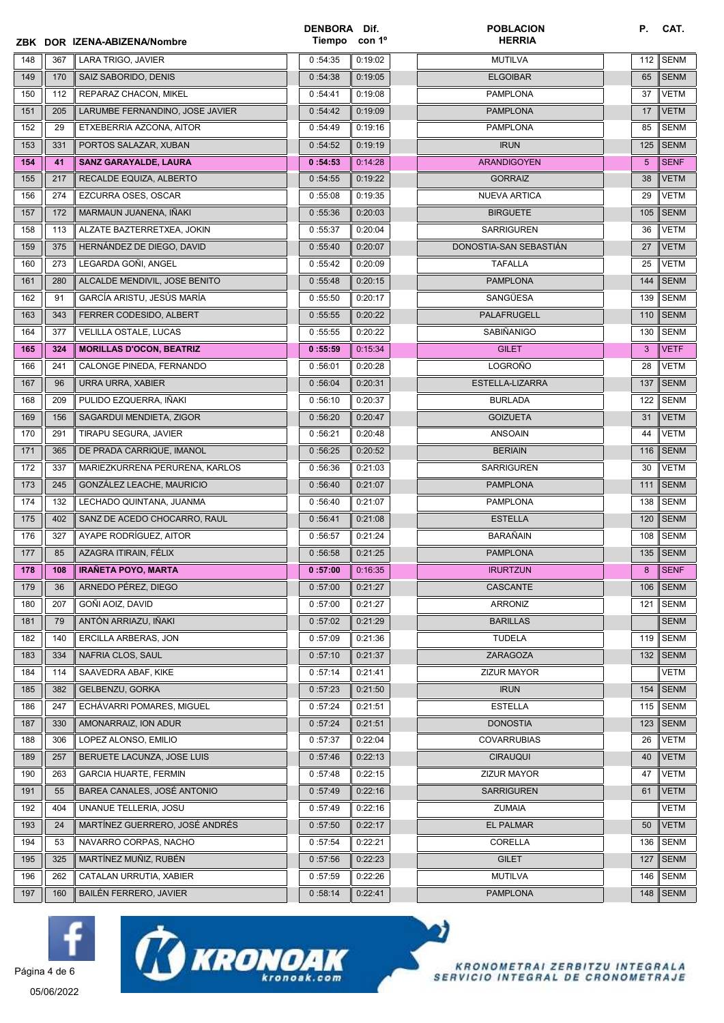|     |     | ZBK DOR IZENA-ABIZENA/Nombre    | DENBORA Dif.<br>Tiempo con 1 <sup>o</sup> |         | <b>POBLACION</b><br><b>HERRIA</b> | Р.  | CAT.        |
|-----|-----|---------------------------------|-------------------------------------------|---------|-----------------------------------|-----|-------------|
| 148 | 367 | LARA TRIGO, JAVIER              | 0:54:35                                   | 0:19:02 | <b>MUTILVA</b>                    | 112 | <b>SENM</b> |
| 149 | 170 | SAIZ SABORIDO, DENIS            | 0:54:38                                   | 0:19:05 | <b>ELGOIBAR</b>                   | 65  | <b>SENM</b> |
| 150 | 112 | REPARAZ CHACON, MIKEL           | 0:54:41                                   | 0:19:08 | <b>PAMPLONA</b>                   | 37  | <b>VETM</b> |
| 151 | 205 | LARUMBE FERNANDINO, JOSE JAVIER | 0:54:42                                   | 0:19:09 | <b>PAMPLONA</b>                   | 17  | <b>VETM</b> |
| 152 | 29  | ETXEBERRIA AZCONA, AITOR        | 0:54:49                                   | 0:19:16 | <b>PAMPLONA</b>                   | 85  | <b>SENM</b> |
| 153 | 331 | PORTOS SALAZAR, XUBAN           | 0:54:52                                   | 0:19:19 | <b>IRUN</b>                       | 125 | <b>SENM</b> |
| 154 | 41  | <b>SANZ GARAYALDE, LAURA</b>    | 0:54:53                                   | 0:14:28 | <b>ARANDIGOYEN</b>                | 5   | <b>SENF</b> |
| 155 | 217 | RECALDE EQUIZA, ALBERTO         | 0:54:55                                   | 0:19:22 | <b>GORRAIZ</b>                    | 38  | <b>VETM</b> |
| 156 | 274 | EZCURRA OSES, OSCAR             | 0:55:08                                   | 0:19:35 | <b>NUEVA ARTICA</b>               | 29  | <b>VETM</b> |
| 157 | 172 | MARMAUN JUANENA, IÑAKI          | 0:55:36                                   | 0:20:03 | <b>BIRGUETE</b>                   | 105 | <b>SENM</b> |
| 158 | 113 | ALZATE BAZTERRETXEA, JOKIN      | 0:55:37                                   | 0:20:04 | <b>SARRIGUREN</b>                 | 36  | <b>VETM</b> |
| 159 | 375 | HERNÁNDEZ DE DIEGO, DAVID       | 0:55:40                                   | 0:20:07 | DONOSTIA-SAN SEBASTIÁN            | 27  | <b>VETM</b> |
| 160 | 273 | LEGARDA GOÑI, ANGEL             | 0:55:42                                   | 0:20:09 | <b>TAFALLA</b>                    | 25  | <b>VETM</b> |
| 161 | 280 | ALCALDE MENDIVIL, JOSE BENITO   | 0:55:48                                   | 0:20:15 | <b>PAMPLONA</b>                   | 144 | <b>SENM</b> |
| 162 | 91  | GARCÍA ARISTU, JESÚS MARÍA      | 0:55:50                                   | 0:20:17 | SANGÜESA                          | 139 | <b>SENM</b> |
| 163 | 343 | FERRER CODESIDO, ALBERT         | 0:55:55                                   | 0:20:22 | PALAFRUGELL                       | 110 | <b>SENM</b> |
| 164 | 377 | VELILLA OSTALE, LUCAS           | 0:55:55                                   | 0:20:22 | SABIÑANIGO                        | 130 | <b>SENM</b> |
| 165 | 324 | <b>MORILLAS D'OCON, BEATRIZ</b> | 0:55:59                                   | 0:15:34 | <b>GILET</b>                      | 3   | <b>VETF</b> |
| 166 | 241 | CALONGE PINEDA, FERNANDO        | 0:56:01                                   | 0:20:28 | <b>LOGROÑO</b>                    | 28  | <b>VETM</b> |
| 167 | 96  | URRA URRA, XABIER               | 0:56:04                                   | 0:20:31 | ESTELLA-LIZARRA                   | 137 | <b>SENM</b> |
| 168 | 209 | PULIDO EZQUERRA, IÑAKI          | 0:56:10                                   | 0:20:37 | <b>BURLADA</b>                    | 122 | <b>SENM</b> |
| 169 | 156 | SAGARDUI MENDIETA, ZIGOR        | 0:56:20                                   | 0:20:47 | <b>GOIZUETA</b>                   | 31  | <b>VETM</b> |
| 170 | 291 | TIRAPU SEGURA, JAVIER           | 0:56:21                                   | 0:20:48 | <b>ANSOAIN</b>                    | 44  | VETM        |
| 171 | 365 | DE PRADA CARRIQUE, IMANOL       | 0:56:25                                   | 0:20:52 | <b>BERIAIN</b>                    | 116 | <b>SENM</b> |
| 172 | 337 | MARIEZKURRENA PERURENA, KARLOS  | 0:56:36                                   | 0:21:03 | <b>SARRIGUREN</b>                 | 30  | <b>VETM</b> |
| 173 | 245 | GONZÁLEZ LEACHE, MAURICIO       | 0:56:40                                   | 0:21:07 | <b>PAMPLONA</b>                   | 111 | <b>SENM</b> |
| 174 | 132 | LECHADO QUINTANA, JUANMA        | 0:56:40                                   | 0:21:07 | <b>PAMPLONA</b>                   | 138 | <b>SENM</b> |
| 175 | 402 | SANZ DE ACEDO CHOCARRO, RAUL    | 0:56:41                                   | 0:21:08 | <b>ESTELLA</b>                    | 120 | <b>SENM</b> |
| 176 | 327 | AYAPE RODRÍGUEZ, AITOR          | 0:56:57                                   | 0:21:24 | <b>BARAÑAIN</b>                   | 108 | <b>SENM</b> |
| 177 | 85  | AZAGRA ITIRAIN, FÉLIX           | 0:56:58                                   | 0:21:25 | <b>PAMPLONA</b>                   | 135 | <b>SENM</b> |
| 178 | 108 | <b>IRANETA POYO, MARTA</b>      | 0:57:00                                   | 0:16:35 | <b>IRURTZUN</b>                   | 8   | <b>SENF</b> |
| 179 | 36  | ARNEDO PÉREZ. DIEGO             | 0:57:00                                   | 0:21:27 | CASCANTE                          | 106 | <b>SENM</b> |
| 180 | 207 | GOÑI AOIZ, DAVID                | 0:57:00                                   | 0:21:27 | <b>ARRONIZ</b>                    | 121 | <b>SENM</b> |
| 181 | 79  | ANTÓN ARRIAZU, IÑAKI            | 0:57:02                                   | 0:21:29 | <b>BARILLAS</b>                   |     | <b>SENM</b> |
| 182 | 140 | ERCILLA ARBERAS, JON            | 0:57:09                                   | 0:21:36 | <b>TUDELA</b>                     | 119 | <b>SENM</b> |
| 183 | 334 | NAFRIA CLOS, SAUL               | 0:57:10                                   | 0:21:37 | ZARAGOZA                          | 132 | <b>SENM</b> |
| 184 | 114 | SAAVEDRA ABAF, KIKE             | 0:57:14                                   | 0:21:41 | ZIZUR MAYOR                       |     | VETM        |
| 185 | 382 | <b>GELBENZU, GORKA</b>          | 0:57:23                                   | 0:21:50 | <b>IRUN</b>                       | 154 | <b>SENM</b> |
| 186 | 247 | ECHÁVARRI POMARES, MIGUEL       | 0:57:24                                   | 0:21:51 | <b>ESTELLA</b>                    | 115 | <b>SENM</b> |
| 187 | 330 | AMONARRAIZ, ION ADUR            | 0:57:24                                   | 0:21:51 | <b>DONOSTIA</b>                   | 123 | <b>SENM</b> |
| 188 | 306 | LOPEZ ALONSO, EMILIO            | 0:57:37                                   | 0:22:04 | <b>COVARRUBIAS</b>                | 26  | VETM        |
| 189 | 257 | BERUETE LACUNZA, JOSE LUIS      | 0:57:46                                   | 0:22:13 | <b>CIRAUQUI</b>                   | 40  | <b>VETM</b> |
| 190 | 263 | <b>GARCIA HUARTE, FERMIN</b>    | 0:57:48                                   | 0:22:15 | ZIZUR MAYOR                       | 47  | VETM        |
| 191 | 55  | BAREA CANALES, JOSÉ ANTONIO     | 0:57:49                                   | 0:22:16 | <b>SARRIGUREN</b>                 | 61  | <b>VETM</b> |
| 192 | 404 | UNANUE TELLERIA, JOSU           | 0:57:49                                   | 0:22:16 | <b>ZUMAIA</b>                     |     | VETM        |
| 193 | 24  | MARTÍNEZ GUERRERO, JOSÉ ANDRÉS  | 0:57:50                                   | 0:22:17 | <b>EL PALMAR</b>                  | 50  | <b>VETM</b> |
| 194 | 53  | NAVARRO CORPAS, NACHO           | 0:57:54                                   | 0:22:21 | CORELLA                           | 136 | <b>SENM</b> |
| 195 | 325 | MARTÍNEZ MUÑIZ, RUBÉN           | 0:57:56                                   | 0:22:23 | <b>GILET</b>                      | 127 | <b>SENM</b> |
| 196 | 262 | CATALAN URRUTIA, XABIER         | 0:57:59                                   | 0:22:26 | <b>MUTILVA</b>                    | 146 | SENM        |
| 197 | 160 | BAILÉN FERRERO, JAVIER          | 0:58:14                                   | 0:22:41 | <b>PAMPLONA</b>                   |     | 148 SENM    |







05/06/2022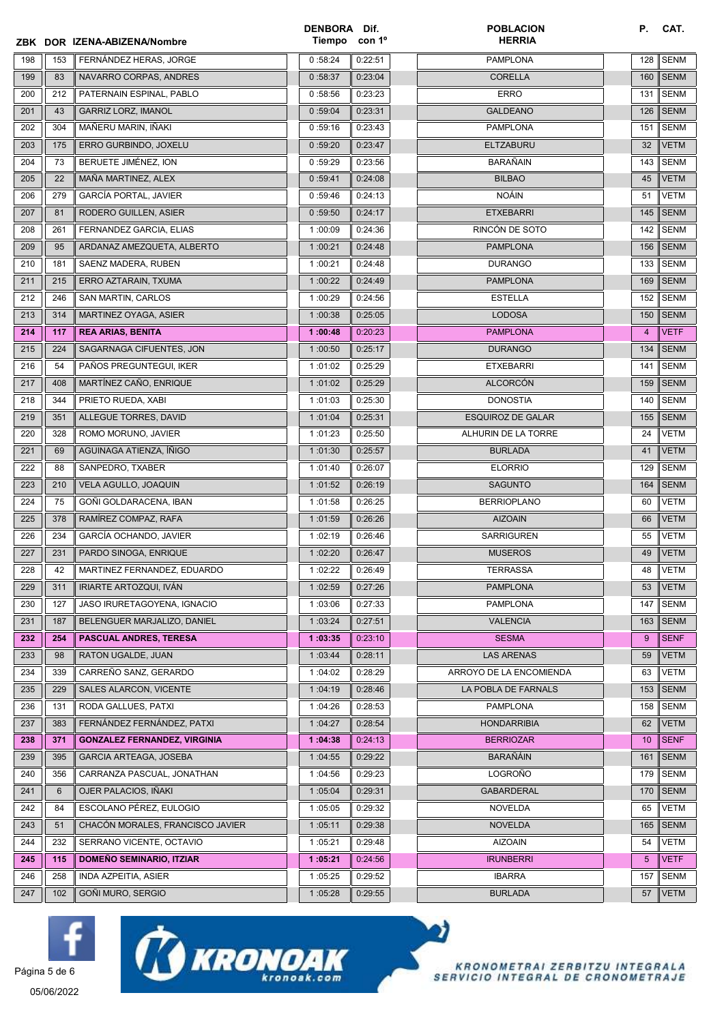|     |                 | ZBK DOR IZENA-ABIZENA/Nombre        | DENBORA Dif.<br>Tiempo con 1º |         | <b>POBLACION</b><br><b>HERRIA</b> | Р.              | CAT.        |
|-----|-----------------|-------------------------------------|-------------------------------|---------|-----------------------------------|-----------------|-------------|
| 198 | 153             | FERNÁNDEZ HERAS, JORGE              | 0:58:24                       | 0:22:51 | <b>PAMPLONA</b>                   | 128             | <b>SENM</b> |
| 199 | 83              | NAVARRO CORPAS, ANDRES              | 0:58:37                       | 0:23:04 | <b>CORELLA</b>                    | 160             | <b>SENM</b> |
| 200 | 212             | PATERNAIN ESPINAL, PABLO            | 0:58:56                       | 0:23:23 | <b>ERRO</b>                       | 131             | <b>SENM</b> |
| 201 | 43              | <b>GARRIZ LORZ, IMANOL</b>          | 0:59:04                       | 0:23:31 | <b>GALDEANO</b>                   | 126             | <b>SENM</b> |
| 202 | 304             | MAÑERU MARIN, IÑAKI                 | 0:59:16                       | 0:23:43 | <b>PAMPLONA</b>                   | 151             | <b>SENM</b> |
| 203 | 175             | ERRO GURBINDO, JOXELU               | 0:59:20                       | 0:23:47 | <b>ELTZABURU</b>                  | 32              | <b>VETM</b> |
| 204 | 73              | BERUETE JIMÉNEZ. ION                | 0:59:29                       | 0:23:56 | <b>BARAÑAIN</b>                   | 143             | <b>SENM</b> |
| 205 | 22              | MAÑA MARTINEZ, ALEX                 | 0:59:41                       | 0:24:08 | <b>BILBAO</b>                     | 45              | <b>VETM</b> |
| 206 | 279             | <b>GARCÍA PORTAL, JAVIER</b>        | 0:59:46                       | 0:24:13 | <b>NOÁIN</b>                      | 51              | <b>VETM</b> |
| 207 | 81              | RODERO GUILLEN, ASIER               | 0:59:50                       | 0:24:17 | <b>ETXEBARRI</b>                  | 145             | <b>SENM</b> |
| 208 | 261             | FERNANDEZ GARCIA, ELIAS             | 1:00:09                       | 0:24:36 | RINCÓN DE SOTO                    | 142             | <b>SENM</b> |
| 209 | 95              | ARDANAZ AMEZQUETA, ALBERTO          | 1:00:21                       | 0:24:48 | <b>PAMPLONA</b>                   | 156             | <b>SENM</b> |
| 210 | 181             | SAENZ MADERA, RUBEN                 | 1:00:21                       | 0:24:48 | <b>DURANGO</b>                    | 133             | <b>SENM</b> |
| 211 | 215             | ERRO AZTARAIN, TXUMA                | 1:00:22                       | 0:24:49 | <b>PAMPLONA</b>                   | 169             | <b>SENM</b> |
| 212 | 246             | SAN MARTIN, CARLOS                  | 1:00:29                       | 0:24:56 | <b>ESTELLA</b>                    | 152             | <b>SENM</b> |
| 213 | 314             | MARTINEZ OYAGA, ASIER               | 1:00:38                       | 0:25:05 | <b>LODOSA</b>                     | 150             | <b>SENM</b> |
| 214 | 117             | <b>REA ARIAS, BENITA</b>            | 1:00:48                       | 0:20:23 | <b>PAMPLONA</b>                   | 4               | <b>VETF</b> |
| 215 | 224             | SAGARNAGA CIFUENTES, JON            | 1:00:50                       | 0:25:17 | <b>DURANGO</b>                    | 134             | <b>SENM</b> |
| 216 | 54              | PAÑOS PREGUNTEGUI, IKER             | 1:01:02                       | 0:25:29 | <b>ETXEBARRI</b>                  | 141             | <b>SENM</b> |
| 217 | 408             | MARTÍNEZ CAÑO, ENRIQUE              | 1:01:02                       | 0:25:29 | <b>ALCORCÓN</b>                   | 159             | <b>SENM</b> |
| 218 | 344             | PRIETO RUEDA, XABI                  | 1:01:03                       | 0:25:30 | <b>DONOSTIA</b>                   | 140             | <b>SENM</b> |
| 219 | 351             | ALLEGUE TORRES, DAVID               | 1:01:04                       | 0:25:31 | <b>ESQUIROZ DE GALAR</b>          | 155             | <b>SENM</b> |
| 220 | 328             | ROMO MORUNO, JAVIER                 | 1:01:23                       | 0:25:50 | ALHURIN DE LA TORRE               | 24              | VETM        |
| 221 | 69              | AGUINAGA ATIENZA, ÍÑIGO             | 1:01:30                       | 0:25:57 | <b>BURLADA</b>                    | 41              | <b>VETM</b> |
| 222 | 88              | SANPEDRO, TXABER                    | 1:01:40                       | 0:26:07 | <b>ELORRIO</b>                    | 129             | <b>SENM</b> |
| 223 | 210             | VELA AGULLO, JOAQUIN                | 1:01:52                       | 0:26:19 | <b>SAGUNTO</b>                    | 164             | <b>SENM</b> |
| 224 | 75              | GOÑI GOLDARACENA, IBAN              | 1:01:58                       | 0:26:25 | <b>BERRIOPLANO</b>                | 60              | VETM        |
| 225 | 378             | RAMÍREZ COMPAZ, RAFA                | 1:01:59                       | 0:26:26 | <b>AIZOAIN</b>                    | 66              | <b>VETM</b> |
| 226 | 234             | GARCÍA OCHANDO, JAVIER              | 1:02:19                       | 0:26:46 | <b>SARRIGUREN</b>                 | 55              | VETM        |
| 227 | 231             | PARDO SINOGA, ENRIQUE               | 1:02:20                       | 0:26:47 | <b>MUSEROS</b>                    | 49              | <b>VETM</b> |
| 228 | 42              | MARTINEZ FERNANDEZ, EDUARDO         | 1:02:22                       | 0:26:49 | TERRASSA                          | 48              | <b>VETM</b> |
| 229 | 311             | IRIARTE ARTOZQUI, IVAN              | 1:02:59                       | 0:27:26 | <b>PAMPLONA</b>                   | 53              | <b>VETM</b> |
| 230 | 127             | JASO IRURETAGOYENA, IGNACIO         | 1:03:06                       | 0:27:33 | <b>PAMPLONA</b>                   | 147             | <b>SENM</b> |
| 231 | 187             | BELENGUER MARJALIZO, DANIEL         | 1:03:24                       | 0:27:51 | <b>VALENCIA</b>                   | 163             | <b>SENM</b> |
| 232 | 254             | <b>PASCUAL ANDRES, TERESA</b>       | 1:03:35                       | 0:23:10 | <b>SESMA</b>                      | 9               | <b>SENF</b> |
| 233 | 98              | RATON UGALDE, JUAN                  | 1:03:44                       | 0:28:11 | <b>LAS ARENAS</b>                 | 59              | <b>VETM</b> |
| 234 | 339             | CARREÑO SANZ, GERARDO               | 1:04:02                       | 0:28:29 | ARROYO DE LA ENCOMIENDA           | 63              | <b>VETM</b> |
| 235 | 229             | SALES ALARCON, VICENTE              | 1:04:19                       | 0:28:46 | LA POBLA DE FARNALS               | 153             | <b>SENM</b> |
| 236 | 131             | RODA GALLUES, PATXI                 | 1:04:26                       | 0:28:53 | <b>PAMPLONA</b>                   | 158             | <b>SENM</b> |
| 237 | 383             | FERNÁNDEZ FERNÁNDEZ, PATXI          | 1:04:27                       | 0:28:54 | HONDARRIBIA                       | 62              | <b>VETM</b> |
| 238 | 371             | <b>GONZALEZ FERNANDEZ, VIRGINIA</b> | 1:04:38                       | 0:24:13 | <b>BERRIOZAR</b>                  | 10              | <b>SENF</b> |
| 239 | 395             | <b>GARCIA ARTEAGA, JOSEBA</b>       | 1:04:55                       | 0:29:22 | <b>BARAÑÁIN</b>                   | 161             | <b>SENM</b> |
| 240 | 356             | CARRANZA PASCUAL, JONATHAN          | 1:04:56                       | 0:29:23 | LOGROÑO                           | 179             | <b>SENM</b> |
| 241 | $6\phantom{1}6$ | OJER PALACIOS, IÑAKI                | 1:05:04                       | 0:29:31 | <b>GABARDERAL</b>                 | 170             | <b>SENM</b> |
| 242 | 84              | ESCOLANO PÉREZ, EULOGIO             | 1:05:05                       | 0:29:32 | <b>NOVELDA</b>                    | 65              | VETM        |
| 243 | 51              | CHACÓN MORALES, FRANCISCO JAVIER    | 1:05:11                       | 0:29:38 | <b>NOVELDA</b>                    | 165             | <b>SENM</b> |
| 244 | 232             | SERRANO VICENTE, OCTAVIO            | 1:05:21                       | 0:29:48 | <b>AIZOAIN</b>                    | 54              | VETM        |
| 245 | 115             | <b>DOMEÑO SEMINARIO, ITZIAR</b>     | 1:05:21                       | 0:24:56 | <b>IRUNBERRI</b>                  | $5\phantom{.0}$ | <b>VETF</b> |
| 246 | 258             | INDA AZPEITIA, ASIER                | 1:05:25                       | 0:29:52 | <b>IBARRA</b>                     | 157             | SENM        |
| 247 | 102             | GOÑI MURO, SERGIO                   | 1:05:28                       | 0:29:55 | <b>BURLADA</b>                    | 57              | <b>VETM</b> |